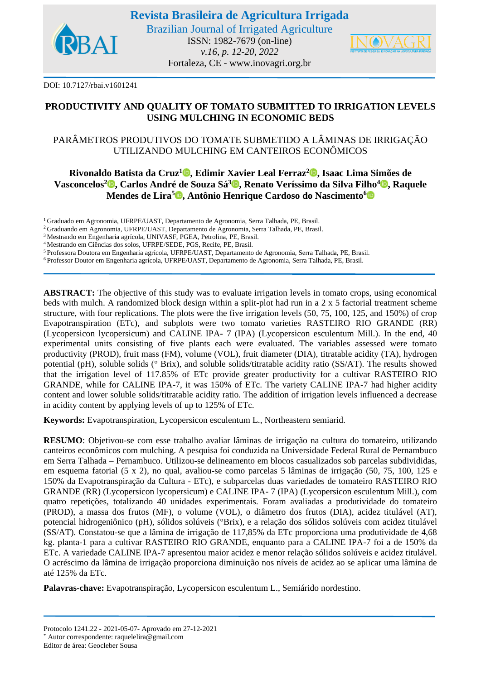



DOI: 10.7127/rbai.v1601241

# **PRODUCTIVITY AND QUALITY OF TOMATO SUBMITTED TO IRRIGATION LEVELS USING MULCHING IN ECONOMIC BEDS**

## PARÂMETROS PRODUTIVOS DO TOMATE SUBMETIDO A LÂMINAS DE IRRIGAÇÃO UTILIZANDO MULCHING EM CANTEIROS ECONÔMICOS

**Rivonaldo Batista da Cruz<sup>1</sup> [,](https://orcid.org/0000-0003-2100-4871) Edimir Xavier Leal Ferraz<sup>2</sup> [,](https://orcid.org/0000-0002-3151-8916) Isaac Lima Simões de Vasconcelos<sup>2</sup> [,](https://orcid.org/0000-0002-2174-4872) Carlos André de Souza Sá<sup>3</sup> , Renato Veríssimo da Silva Filho<sup>4</sup> , Raquele Mendes de Lira[5](https://orcid.org/0000-0002-9035-7788) , Antônio Henrique Cardoso do Nascimento[6](https://orcid.org/0000-0002-1691-8989)**

<sup>1</sup> Graduado em Agronomia, UFRPE/UAST, Departamento de Agronomia, Serra Talhada, PE, Brasil.

<sup>2</sup> Graduando em Agronomia, UFRPE/UAST, Departamento de Agronomia, Serra Talhada, PE, Brasil.

<sup>3</sup> Mestrando em Engenharia agrícola, UNIVASF, PGEA, Petrolina, PE, Brasil.

<sup>4</sup> Mestrando em Ciências dos solos, UFRPE/SEDE, PGS, Recife, PE, Brasil.

<sup>5</sup> Professora Doutora em Engenharia agrícola, UFRPE/UAST, Departamento de Agronomia, Serra Talhada, PE, Brasil.

<sup>6</sup> Professor Doutor em Engenharia agrícola, UFRPE/UAST, Departamento de Agronomia, Serra Talhada, PE, Brasil.

**ABSTRACT:** The objective of this study was to evaluate irrigation levels in tomato crops, using economical beds with mulch. A randomized block design within a split-plot had run in a 2 x 5 factorial treatment scheme structure, with four replications. The plots were the five irrigation levels (50, 75, 100, 125, and 150%) of crop Evapotranspiration (ETc), and subplots were two tomato varieties RASTEIRO RIO GRANDE (RR) (Lycopersicon lycopersicum) and CALINE IPA- 7 (IPA) (Lycopersicon esculentum Mill.). In the end, 40 experimental units consisting of five plants each were evaluated. The variables assessed were tomato productivity (PROD), fruit mass (FM), volume (VOL), fruit diameter (DIA), titratable acidity (TA), hydrogen potential (pH), soluble solids (° Brix), and soluble solids/titratable acidity ratio (SS/AT). The results showed that the irrigation level of 117.85% of ETc provide greater productivity for a cultivar RASTEIRO RIO GRANDE, while for CALINE IPA-7, it was 150% of ETc. The variety CALINE IPA-7 had higher acidity content and lower soluble solids/titratable acidity ratio. The addition of irrigation levels influenced a decrease in acidity content by applying levels of up to 125% of ETc.

**Keywords:** Evapotranspiration, Lycopersicon esculentum L., Northeastern semiarid.

**RESUMO**: Objetivou-se com esse trabalho avaliar lâminas de irrigação na cultura do tomateiro, utilizando canteiros econômicos com mulching. A pesquisa foi conduzida na Universidade Federal Rural de Pernambuco em Serra Talhada – Pernambuco. Utilizou-se delineamento em blocos casualizados sob parcelas subdivididas, em esquema fatorial (5 x 2), no qual, avaliou-se como parcelas 5 lâminas de irrigação (50, 75, 100, 125 e 150% da Evapotranspiração da Cultura - ETc), e subparcelas duas variedades de tomateiro RASTEIRO RIO GRANDE (RR) (Lycopersicon lycopersicum) e CALINE IPA- 7 (IPA) (Lycopersicon esculentum Mill.), com quatro repetições, totalizando 40 unidades experimentais. Foram avaliadas a produtividade do tomateiro (PROD), a massa dos frutos (MF), o volume (VOL), o diâmetro dos frutos (DIA), acidez titulável (AT), potencial hidrogeniônico (pH), sólidos solúveis (°Brix), e a relação dos sólidos solúveis com acidez titulável (SS/AT). Constatou-se que a lâmina de irrigação de 117,85% da ETc proporciona uma produtividade de 4,68 kg. planta-1 para a cultivar RASTEIRO RIO GRANDE, enquanto para a CALINE IPA-7 foi a de 150% da ETc. A variedade CALINE IPA-7 apresentou maior acidez e menor relação sólidos solúveis e acidez titulável. O acréscimo da lâmina de irrigação proporciona diminuição nos níveis de acidez ao se aplicar uma lâmina de até 125% da ETc.

**Palavras-chave:** Evapotranspiração, Lycopersicon esculentum L., Semiárido nordestino.

Autor correspondente: raquelelira@gmail.com

Editor de área: Geocleber Sousa

Protocolo 1241.22 - 2021-05-07- Aprovado em 27-12-2021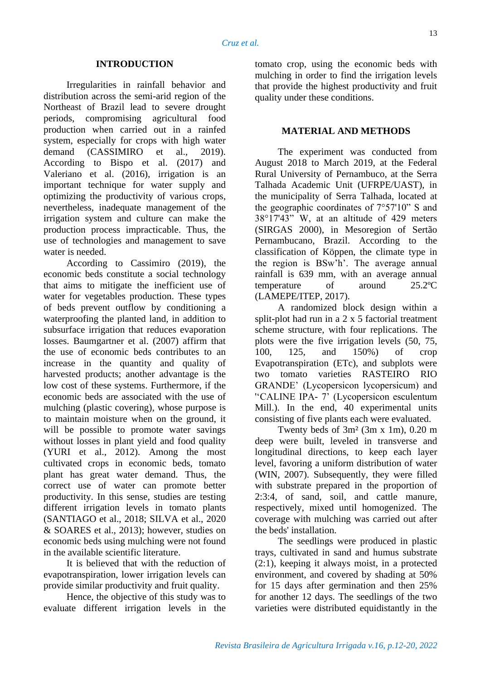### **INTRODUCTION**

Irregularities in rainfall behavior and distribution across the semi-arid region of the Northeast of Brazil lead to severe drought periods, compromising agricultural food production when carried out in a rainfed system, especially for crops with high water demand (CASSIMIRO et al., 2019). According to Bispo et al. (2017) and Valeriano et al. (2016), irrigation is an important technique for water supply and optimizing the productivity of various crops, nevertheless, inadequate management of the irrigation system and culture can make the production process impracticable. Thus, the use of technologies and management to save water is needed.

According to Cassimiro (2019), the economic beds constitute a social technology that aims to mitigate the inefficient use of water for vegetables production. These types of beds prevent outflow by conditioning a waterproofing the planted land, in addition to subsurface irrigation that reduces evaporation losses. Baumgartner et al. (2007) affirm that the use of economic beds contributes to an increase in the quantity and quality of harvested products; another advantage is the low cost of these systems. Furthermore, if the economic beds are associated with the use of mulching (plastic covering), whose purpose is to maintain moisture when on the ground, it will be possible to promote water savings without losses in plant yield and food quality (YURI et al., 2012). Among the most cultivated crops in economic beds, tomato plant has great water demand. Thus, the correct use of water can promote better productivity. In this sense, studies are testing different irrigation levels in tomato plants (SANTIAGO et al., 2018; SILVA et al., 2020 & SOARES et al., 2013); however, studies on economic beds using mulching were not found in the available scientific literature.

It is believed that with the reduction of evapotranspiration, lower irrigation levels can provide similar productivity and fruit quality.

Hence, the objective of this study was to evaluate different irrigation levels in the

tomato crop, using the economic beds with mulching in order to find the irrigation levels that provide the highest productivity and fruit quality under these conditions.

### **MATERIAL AND METHODS**

The experiment was conducted from August 2018 to March 2019, at the Federal Rural University of Pernambuco, at the Serra Talhada Academic Unit (UFRPE/UAST), in the municipality of Serra Talhada, located at the geographic coordinates of 7°57'10" S and 38°17'43" W, at an altitude of 429 meters (SIRGAS 2000), in Mesoregion of Sertão Pernambucano, Brazil. According to the classification of Köppen, the climate type in the region is BSw'h'. The average annual rainfall is 639 mm, with an average annual temperature of around 25.2ºC (LAMEPE/ITEP, 2017).

A randomized block design within a split-plot had run in a 2 x 5 factorial treatment scheme structure, with four replications. The plots were the five irrigation levels (50, 75, 100, 125, and 150%) of crop Evapotranspiration (ETc), and subplots were two tomato varieties RASTEIRO RIO GRANDE' (Lycopersicon lycopersicum) and ''CALINE IPA- 7' (Lycopersicon esculentum Mill.). In the end, 40 experimental units consisting of five plants each were evaluated.

Twenty beds of 3m² (3m x 1m), 0.20 m deep were built, leveled in transverse and longitudinal directions, to keep each layer level, favoring a uniform distribution of water (WIN, 2007). Subsequently, they were filled with substrate prepared in the proportion of 2:3:4, of sand, soil, and cattle manure, respectively, mixed until homogenized. The coverage with mulching was carried out after the beds' installation.

The seedlings were produced in plastic trays, cultivated in sand and humus substrate (2:1), keeping it always moist, in a protected environment, and covered by shading at 50% for 15 days after germination and then 25% for another 12 days. The seedlings of the two varieties were distributed equidistantly in the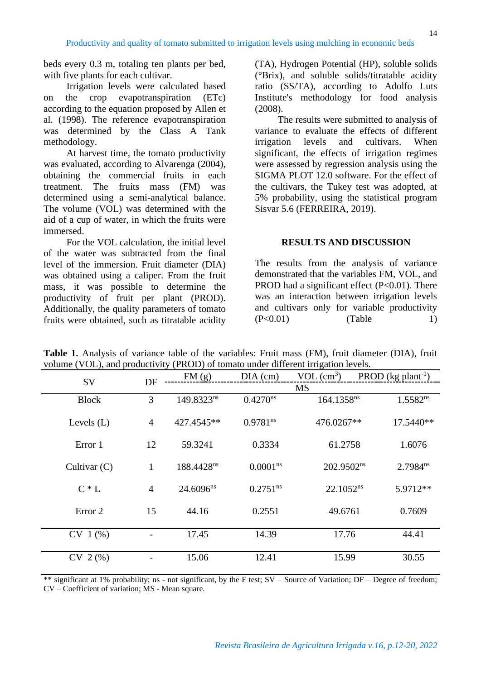beds every 0.3 m, totaling ten plants per bed, with five plants for each cultivar.

Irrigation levels were calculated based on the crop evapotranspiration (ETc) according to the equation proposed by Allen et al. (1998). The reference evapotranspiration was determined by the Class A Tank methodology.

At harvest time, the tomato productivity was evaluated, according to Alvarenga (2004), obtaining the commercial fruits in each treatment. The fruits mass (FM) was determined using a semi-analytical balance. The volume (VOL) was determined with the aid of a cup of water, in which the fruits were immersed.

For the VOL calculation, the initial level of the water was subtracted from the final level of the immersion. Fruit diameter (DIA) was obtained using a caliper. From the fruit mass, it was possible to determine the productivity of fruit per plant (PROD). Additionally, the quality parameters of tomato fruits were obtained, such as titratable acidity

(TA), Hydrogen Potential (HP), soluble solids (°Brix), and soluble solids/titratable acidity ratio (SS/TA), according to Adolfo Luts Institute's methodology for food analysis (2008).

The results were submitted to analysis of variance to evaluate the effects of different irrigation levels and cultivars. When significant, the effects of irrigation regimes were assessed by regression analysis using the SIGMA PLOT 12.0 software. For the effect of the cultivars, the Tukey test was adopted, at 5% probability, using the statistical program Sisvar 5.6 (FERREIRA, 2019).

#### **RESULTS AND DISCUSSION**

The results from the analysis of variance demonstrated that the variables FM, VOL, and PROD had a significant effect  $(P<0.01)$ . There was an interaction between irrigation levels and cultivars only for variable productivity  $(P<0.01)$  (Table 1)

| <b>SV</b>      | DF                           | FM(g)                 | $DIA$ (cm)             | $VOL$ (cm <sup>3</sup> ) | PROD $(kg$ plant <sup>-1</sup> ) |  |
|----------------|------------------------------|-----------------------|------------------------|--------------------------|----------------------------------|--|
|                |                              | <b>MS</b>             |                        |                          |                                  |  |
| <b>Block</b>   | 3                            | 149.8323ns            | 0.4270 <sup>ns</sup>   | 164.1358 <sup>ns</sup>   | $1.5582^{ns}$                    |  |
| Levels $(L)$   | $\overline{4}$               | 427.4545**            | $0.9781$ <sup>ns</sup> | 476.0267**               | 17.5440**                        |  |
| Error 1        | 12                           | 59.3241               | 0.3334                 | 61.2758                  | 1.6076                           |  |
| Cultivar $(C)$ | $\mathbf{1}$                 | 188.4428ns            | 0.0001 <sup>ns</sup>   | 202.9502 <sup>ns</sup>   | $2.7984$ <sup>ns</sup>           |  |
| $C * L$        | $\overline{4}$               | 24.6096 <sup>ns</sup> | 0.2751 <sup>ns</sup>   | 22.1052 <sup>ns</sup>    | 5.9712**                         |  |
| Error 2        | 15                           | 44.16                 | 0.2551                 | 49.6761                  | 0.7609                           |  |
| $CV 1$ (%)     | $\qquad \qquad \blacksquare$ | 17.45                 | 14.39                  | 17.76                    | 44.41                            |  |
| $CV 2$ (%)     |                              | 15.06                 | 12.41                  | 30.55<br>15.99           |                                  |  |

**Table 1.** Analysis of variance table of the variables: Fruit mass (FM), fruit diameter (DIA), fruit volume (VOL), and productivity (PROD) of tomato under different irrigation levels.

\*\* significant at 1% probability; ns - not significant, by the F test; SV – Source of Variation; DF – Degree of freedom; CV – Coefficient of variation; MS - Mean square.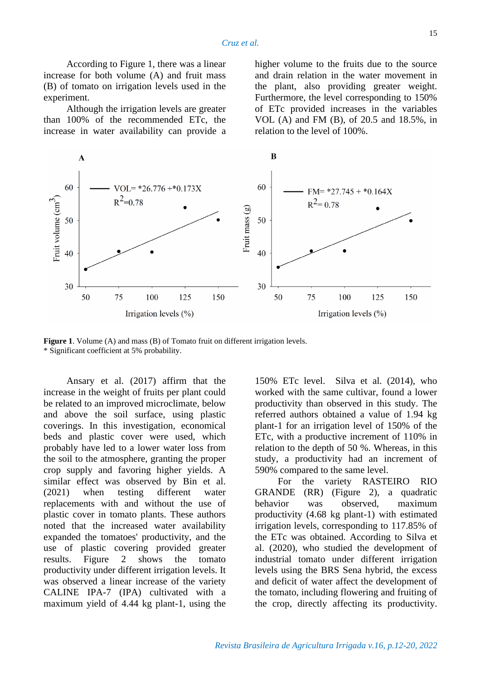According to Figure 1, there was a linear increase for both volume (A) and fruit mass (B) of tomato on irrigation levels used in the experiment.

Although the irrigation levels are greater than 100% of the recommended ETc, the increase in water availability can provide a higher volume to the fruits due to the source and drain relation in the water movement in the plant, also providing greater weight. Furthermore, the level corresponding to 150% of ETc provided increases in the variables VOL (A) and FM (B), of 20.5 and 18.5%, in relation to the level of 100%.



**Figure 1**. Volume (A) and mass (B) of Tomato fruit on different irrigation levels. \* Significant coefficient at 5% probability.

Ansary et al. (2017) affirm that the increase in the weight of fruits per plant could be related to an improved microclimate, below and above the soil surface, using plastic coverings. In this investigation, economical beds and plastic cover were used, which probably have led to a lower water loss from the soil to the atmosphere, granting the proper crop supply and favoring higher yields. A similar effect was observed by Bin et al. (2021) when testing different water replacements with and without the use of plastic cover in tomato plants. These authors noted that the increased water availability expanded the tomatoes' productivity, and the use of plastic covering provided greater results. Figure 2 shows the tomato productivity under different irrigation levels. It was observed a linear increase of the variety CALINE IPA-7 (IPA) cultivated with a maximum yield of 4.44 kg plant-1, using the

150% ETc level. Silva et al. (2014), who worked with the same cultivar, found a lower productivity than observed in this study. The referred authors obtained a value of 1.94 kg plant-1 for an irrigation level of 150% of the ETc, with a productive increment of 110% in relation to the depth of 50 %. Whereas, in this study, a productivity had an increment of 590% compared to the same level.

For the variety RASTEIRO RIO GRANDE (RR) (Figure 2), a quadratic behavior was observed, maximum productivity (4.68 kg plant-1) with estimated irrigation levels, corresponding to 117.85% of the ETc was obtained. According to Silva et al. (2020), who studied the development of industrial tomato under different irrigation levels using the BRS Sena hybrid, the excess and deficit of water affect the development of the tomato, including flowering and fruiting of the crop, directly affecting its productivity.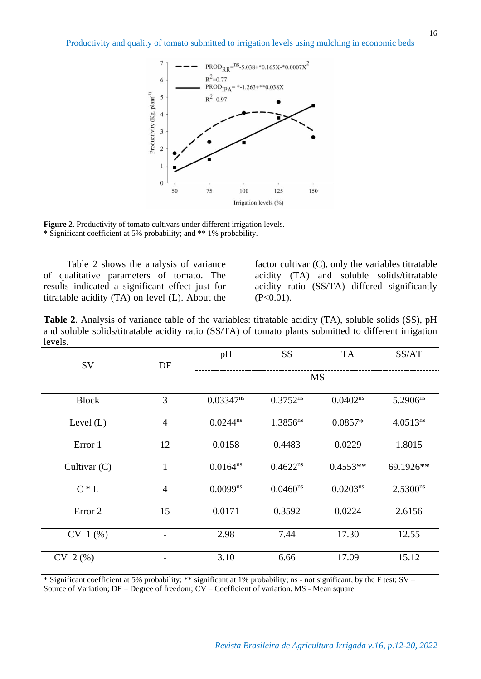Productivity and quality of tomato submitted to irrigation levels using mulching in economic beds



**Figure 2**. Productivity of tomato cultivars under different irrigation levels. \* Significant coefficient at 5% probability; and \*\* 1% probability.

Table 2 shows the analysis of variance of qualitative parameters of tomato. The results indicated a significant effect just for titratable acidity (TA) on level (L). About the

factor cultivar (C), only the variables titratable acidity (TA) and soluble solids/titratable acidity ratio (SS/TA) differed significantly  $(P<0.01)$ .

**Table 2**. Analysis of variance table of the variables: titratable acidity (TA), soluble solids (SS), pH and soluble solids/titratable acidity ratio (SS/TA) of tomato plants submitted to different irrigation levels.

| $\ddotsc$      |                |                |                        |               |               |  |  |
|----------------|----------------|----------------|------------------------|---------------|---------------|--|--|
| SV             | DF             | pH             | <b>SS</b>              | <b>TA</b>     | SS/AT         |  |  |
|                |                | <b>MS</b>      |                        |               |               |  |  |
| <b>Block</b>   | 3              | $0.03347^{ns}$ | $0.3752$ <sup>ns</sup> | $0.0402^{ns}$ | $5.2906^{ns}$ |  |  |
| Level $(L)$    | $\overline{4}$ | $0.0244^{ns}$  | $1.3856^{ns}$          | $0.0857*$     | $4.0513^{ns}$ |  |  |
| Error 1        | 12             | 0.0158         | 0.4483                 | 0.0229        | 1.8015        |  |  |
| Cultivar $(C)$ | $\mathbf{1}$   | $0.0164^{ns}$  | $0.4622^{ns}$          | $0.4553**$    | 69.1926**     |  |  |
| $C * L$        | $\overline{4}$ | $0.0099^{ns}$  | 0.0460 <sup>ns</sup>   | $0.0203^{ns}$ | $2.5300^{ns}$ |  |  |
| Error 2        | 15             | 0.0171         | 0.3592                 | 0.0224        | 2.6156        |  |  |
| $CV 1$ (%)     | -              | 2.98           | 7.44                   | 17.30         | 12.55         |  |  |
| $CV 2$ (%)     |                | 3.10           | 6.66                   | 17.09         | 15.12         |  |  |

\* Significant coefficient at 5% probability; \*\* significant at 1% probability; ns - not significant, by the F test; SV – Source of Variation; DF – Degree of freedom; CV – Coefficient of variation. MS - Mean square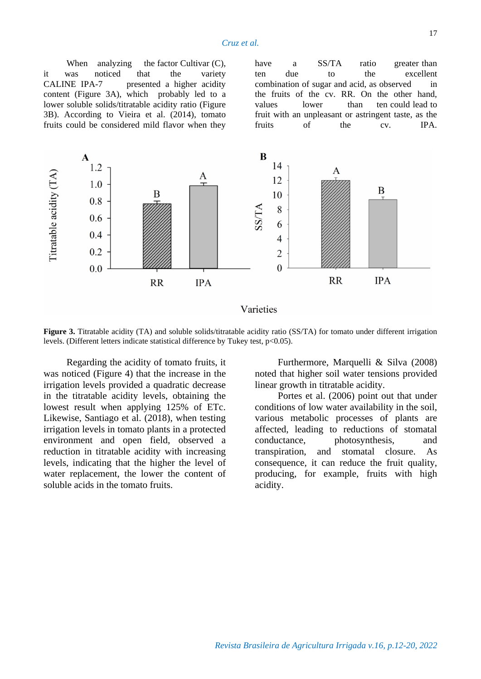When analyzing the factor Cultivar  $(C)$ , it was noticed that the variety CALINE IPA-7 presented a higher acidity content (Figure 3A), which probably led to a lower soluble solids/titratable acidity ratio (Figure 3B). According to Vieira et al. (2014), tomato fruits could be considered mild flavor when they have a SS/TA ratio greater than ten due to the excellent combination of sugar and acid, as observed in the fruits of the cv. RR. On the other hand, values lower than ten could lead to fruit with an unpleasant or astringent taste, as the fruits of the cv. IPA.



**Figure 3.** Titratable acidity (TA) and soluble solids/titratable acidity ratio (SS/TA) for tomato under different irrigation levels. (Different letters indicate statistical difference by Tukey test, p<0.05).

Regarding the acidity of tomato fruits, it was noticed (Figure 4) that the increase in the irrigation levels provided a quadratic decrease in the titratable acidity levels, obtaining the lowest result when applying 125% of ETc. Likewise, Santiago et al. (2018), when testing irrigation levels in tomato plants in a protected environment and open field, observed a reduction in titratable acidity with increasing levels, indicating that the higher the level of water replacement, the lower the content of soluble acids in the tomato fruits.

Furthermore, Marquelli & Silva (2008) noted that higher soil water tensions provided linear growth in titratable acidity.

Portes et al. (2006) point out that under conditions of low water availability in the soil, various metabolic processes of plants are affected, leading to reductions of stomatal conductance, photosynthesis, and transpiration, and stomatal closure. As consequence, it can reduce the fruit quality, producing, for example, fruits with high acidity.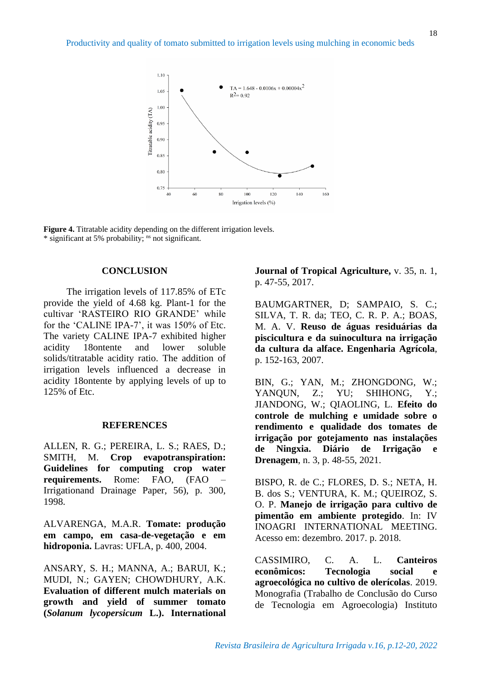

**Figure 4.** Titratable acidity depending on the different irrigation levels. \* significant at 5% probability; ns not significant.

#### **CONCLUSION**

The irrigation levels of 117.85% of ETc provide the yield of 4.68 kg. Plant-1 for the cultivar 'RASTEIRO RIO GRANDE' while for the 'CALINE IPA-7', it was 150% of Etc. The variety CALINE IPA-7 exhibited higher acidity 18ontente and lower soluble solids/titratable acidity ratio. The addition of irrigation levels influenced a decrease in acidity 18ontente by applying levels of up to 125% of Etc.

#### **REFERENCES**

ALLEN, R. G.; PEREIRA, L. S.; RAES, D.; SMITH, M. **Crop evapotranspiration: Guidelines for computing crop water requirements.** Rome: FAO, (FAO – Irrigationand Drainage Paper, 56), p. 300, 1998.

ALVARENGA, M.A.R. **Tomate: produção em campo, em casa-de-vegetação e em hidroponia.** Lavras: UFLA, p. 400, 2004.

ANSARY, S. H.; MANNA, A.; BARUI, K.; MUDI, N.; GAYEN; CHOWDHURY, A.K. **Evaluation of different mulch materials on growth and yield of summer tomato (***Solanum lycopersicum* **L.). International**  **Journal of Tropical Agriculture,** v. 35, n. 1, p. 47-55, 2017.

BAUMGARTNER, D; SAMPAIO, S. C.; SILVA, T. R. da; TEO, C. R. P. A.; BOAS, M. A. V. **Reuso de águas residuárias da piscicultura e da suinocultura na irrigação da cultura da alface. Engenharia Agrícola**, p. 152-163, 2007.

BIN, G.; YAN, M.; ZHONGDONG, W.; YANOUN, Z.; YU; SHIHONG, Y.; JIANDONG, W.; QIAOLING, L. **Efeito do controle de mulching e umidade sobre o rendimento e qualidade dos tomates de irrigação por gotejamento nas instalações de Ningxia. Diário de Irrigação e Drenagem**, n. 3, p. 48-55, 2021.

BISPO, R. de C.; FLORES, D. S.; NETA, H. B. dos S.; VENTURA, K. M.; QUEIROZ, S. O. P. **Manejo de irrigação para cultivo de pimentão em ambiente protegido**. In: IV INOAGRI INTERNATIONAL MEETING. Acesso em: dezembro. 2017. p. 2018.

CASSIMIRO, C. A. L. **Canteiros econômicos: Tecnologia social e agroecológica no cultivo de olerícolas**. 2019. Monografia (Trabalho de Conclusão do Curso de Tecnologia em Agroecologia) Instituto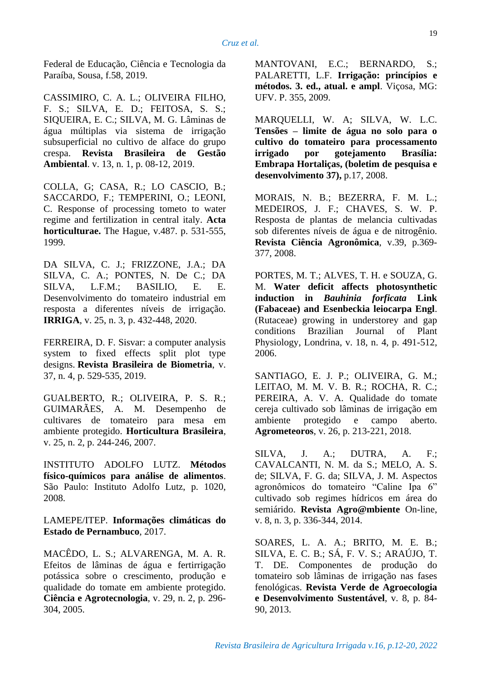Federal de Educação, Ciência e Tecnologia da Paraíba, Sousa, f.58, 2019.

CASSIMIRO, C. A. L.; OLIVEIRA FILHO, F. S.; SILVA, E. D.; FEITOSA, S. S.; SIQUEIRA, E. C.; SILVA, M. G. Lâminas de água múltiplas via sistema de irrigação subsuperficial no cultivo de alface do grupo crespa. **Revista Brasileira de Gestão Ambiental**. v. 13, n. 1, p. 08-12, 2019.

COLLA, G; CASA, R.; LO CASCIO, B.; SACCARDO, F.; TEMPERINI, O.; LEONI, C. Response of processing tometo to water regime and fertilization in central italy. **Acta horticulturae.** The Hague, v.487. p. 531-555, 1999.

DA SILVA, C. J.; FRIZZONE, J.A.; DA SILVA, C. A.; PONTES, N. De C.; DA SILVA, L.F.M.; BASILIO, E. E. Desenvolvimento do tomateiro industrial em resposta a diferentes níveis de irrigação. **IRRIGA**, v. 25, n. 3, p. 432-448, 2020.

FERREIRA, D. F. Sisvar: a computer analysis system to fixed effects split plot type designs. **Revista Brasileira de Biometria**, v. 37, n. 4, p. 529-535, 2019.

GUALBERTO, R.; OLIVEIRA, P. S. R.; GUIMARÃES, A. M. Desempenho de cultivares de tomateiro para mesa em ambiente protegido. **Horticultura Brasileira**, v. 25, n. 2, p. 244-246, 2007.

INSTITUTO ADOLFO LUTZ. **Métodos físico-químicos para análise de alimentos**. São Paulo: Instituto Adolfo Lutz, p. 1020, 2008.

LAMEPE/ITEP. **Informações climáticas do Estado de Pernambuco**, 2017.

MACÊDO, L. S.; ALVARENGA, M. A. R. Efeitos de lâminas de água e fertirrigação potássica sobre o crescimento, produção e qualidade do tomate em ambiente protegido. **Ciência e Agrotecnologia**, v. 29, n. 2, p. 296- 304, 2005.

MANTOVANI, E.C.; BERNARDO, S.; PALARETTI, L.F. **Irrigação: princípios e métodos. 3. ed., atual. e ampl**. Viçosa, MG: UFV. P. 355, 2009.

MARQUELLI, W. A; SILVA, W. L.C. **Tensões – limite de água no solo para o cultivo do tomateiro para processamento irrigado por gotejamento Brasília: Embrapa Hortaliças, (boletim de pesquisa e desenvolvimento 37),** p.17, 2008.

MORAIS, N. B.; BEZERRA, F. M. L.; MEDEIROS, J. F.; CHAVES, S. W. P. Resposta de plantas de melancia cultivadas sob diferentes níveis de água e de nitrogênio. **Revista Ciência Agronômica**, v.39, p.369- 377, 2008.

PORTES, M. T.; ALVES, T. H. e SOUZA, G. M. **Water deficit affects photosynthetic induction in** *Bauhinia forficata* **Link (Fabaceae) and Esenbeckia leiocarpa Engl**. (Rutaceae) growing in understorey and gap conditions Brazilian Journal of Plant Physiology, Londrina, v. 18, n. 4, p. 491-512, 2006.

SANTIAGO, E. J. P.; OLIVEIRA, G. M.; LEITAO, M. M. V. B. R.; ROCHA, R. C.; PEREIRA, A. V. A. Qualidade do tomate cereja cultivado sob lâminas de irrigação em ambiente protegido e campo aberto. **Agrometeoros**, v. 26, p. 213-221, 2018.

SILVA, J. A.; DUTRA, A. F.; CAVALCANTI, N. M. da S.; MELO, A. S. de; SILVA, F. G. da; SILVA, J. M. Aspectos agronômicos do tomateiro "Caline Ipa 6" cultivado sob regimes hídricos em área do semiárido. **Revista Agro@mbiente** On-line, v. 8, n. 3, p. 336-344, 2014.

SOARES, L. A. A.; BRITO, M. E. B.; SILVA, E. C. B.; SÁ, F. V. S.; ARAÚJO, T. T. DE. Componentes de produção do tomateiro sob lâminas de irrigação nas fases fenológicas. **Revista Verde de Agroecologia e Desenvolvimento Sustentável**, v. 8, p. 84- 90, 2013.